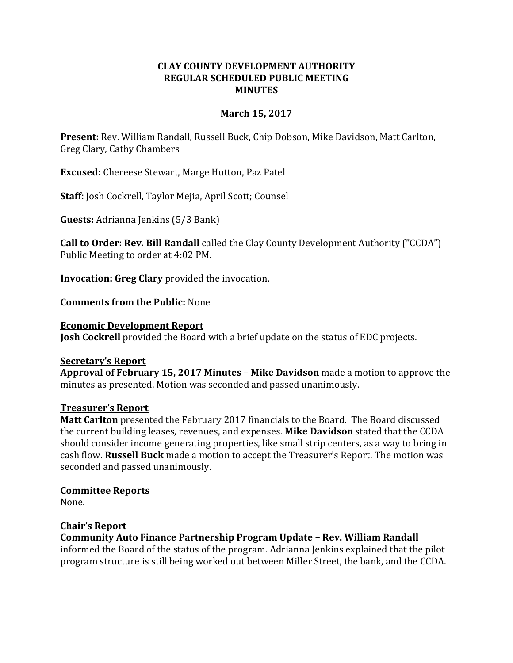### **CLAY COUNTY DEVELOPMENT AUTHORITY REGULAR SCHEDULED PUBLIC MEETING MINUTES**

### **March 15, 2017**

**Present:** Rev. William Randall, Russell Buck, Chip Dobson, Mike Davidson, Matt Carlton, Greg Clary, Cathy Chambers

**Excused:** Chereese Stewart, Marge Hutton, Paz Patel

**Staff:** Josh Cockrell, Taylor Mejia, April Scott; Counsel

**Guests:** Adrianna Jenkins (5/3 Bank)

**Call to Order: Rev. Bill Randall** called the Clay County Development Authority ("CCDA") Public Meeting to order at 4:02 PM.

**Invocation: Greg Clary** provided the invocation.

**Comments from the Public:** None

#### **Economic Development Report**

**Josh Cockrell** provided the Board with a brief update on the status of EDC projects.

### **Secretary's Report**

**Approval of February 15, 2017 Minutes – Mike Davidson** made a motion to approve the minutes as presented. Motion was seconded and passed unanimously.

### **Treasurer's Report**

**Matt Carlton** presented the February 2017 financials to the Board. The Board discussed the current building leases, revenues, and expenses. **Mike Davidson** stated that the CCDA should consider income generating properties, like small strip centers, as a way to bring in cash flow. **Russell Buck** made a motion to accept the Treasurer's Report. The motion was seconded and passed unanimously.

### **Committee Reports**

None.

### **Chair's Report**

**Community Auto Finance Partnership Program Update – Rev. William Randall**  informed the Board of the status of the program. Adrianna Jenkins explained that the pilot program structure is still being worked out between Miller Street, the bank, and the CCDA.